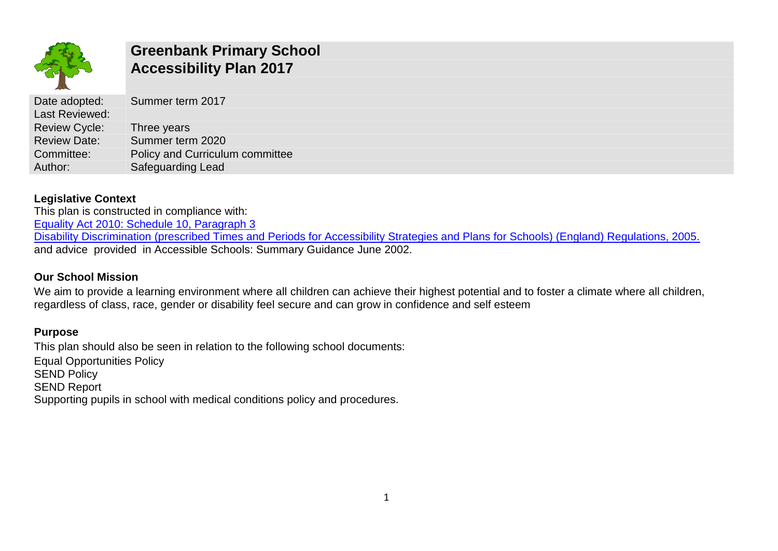

# **Greenbank Primary School Accessibility Plan 2017**

| Date adopted:        | Summer term 2017                |
|----------------------|---------------------------------|
| Last Reviewed:       |                                 |
| <b>Review Cycle:</b> | Three years                     |
| <b>Review Date:</b>  | Summer term 2020                |
| Committee:           | Policy and Curriculum committee |
| Author:              | <b>Safeguarding Lead</b>        |

### **Legislative Context**

This plan is constructed in compliance with: [Equality Act 2010: Schedule 10, Paragraph 3](http://www.legislation.gov.uk/ukpga/2010/15/schedule/10) Disability Discrimination [\(prescribed Times and Periods for Accessibility Strategies and Plans for Schools\) \(England\) Regulations, 2005.](http://www.legislation.gov.uk/uksi/2005/3221/made) and advice provided in Accessible Schools: Summary Guidance June 2002.

## **Our School Mission**

We aim to provide a learning environment where all children can achieve their highest potential and to foster a climate where all children, regardless of class, race, gender or disability feel secure and can grow in confidence and self esteem

## **Purpose**

This plan should also be seen in relation to the following school documents: Equal Opportunities Policy **SEND Policy** SEND Report Supporting pupils in school with medical conditions policy and procedures.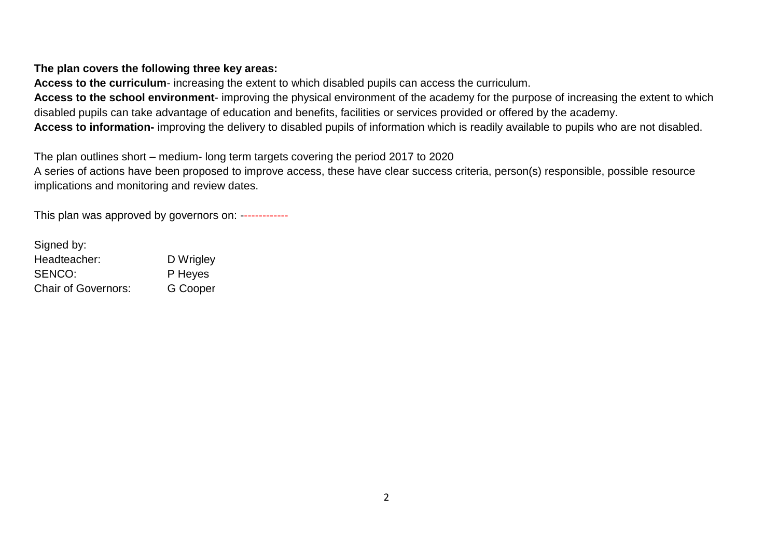#### **The plan covers the following three key areas:**

**Access to the curriculum**- increasing the extent to which disabled pupils can access the curriculum.

**Access to the school environment**- improving the physical environment of the academy for the purpose of increasing the extent to which disabled pupils can take advantage of education and benefits, facilities or services provided or offered by the academy.

**Access to information-** improving the delivery to disabled pupils of information which is readily available to pupils who are not disabled.

The plan outlines short – medium- long term targets covering the period 2017 to 2020

A series of actions have been proposed to improve access, these have clear success criteria, person(s) responsible, possible resource implications and monitoring and review dates.

This plan was approved by governors on: -------------

| Signed by:                 |           |
|----------------------------|-----------|
| Headteacher:               | D Wrigley |
| SENCO:                     | P Heyes   |
| <b>Chair of Governors:</b> | G Cooper  |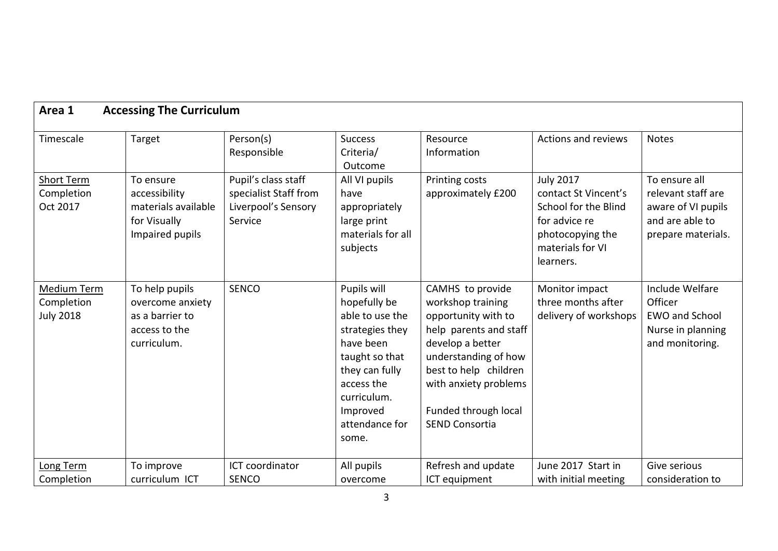| <b>Accessing The Curriculum</b><br>Area 1            |                                                                                       |                                                                                |                                                                                                                                                                                        |                                                                                                                                                                                                                                       |                                                                                                                                        |                                                                                                    |
|------------------------------------------------------|---------------------------------------------------------------------------------------|--------------------------------------------------------------------------------|----------------------------------------------------------------------------------------------------------------------------------------------------------------------------------------|---------------------------------------------------------------------------------------------------------------------------------------------------------------------------------------------------------------------------------------|----------------------------------------------------------------------------------------------------------------------------------------|----------------------------------------------------------------------------------------------------|
| Timescale                                            | Target                                                                                | Person(s)<br>Responsible                                                       | <b>Success</b><br>Criteria/<br>Outcome                                                                                                                                                 | Resource<br>Information                                                                                                                                                                                                               | Actions and reviews                                                                                                                    | <b>Notes</b>                                                                                       |
| <b>Short Term</b><br>Completion<br>Oct 2017          | To ensure<br>accessibility<br>materials available<br>for Visually<br>Impaired pupils  | Pupil's class staff<br>specialist Staff from<br>Liverpool's Sensory<br>Service | All VI pupils<br>have<br>appropriately<br>large print<br>materials for all<br>subjects                                                                                                 | Printing costs<br>approximately £200                                                                                                                                                                                                  | <b>July 2017</b><br>contact St Vincent's<br>School for the Blind<br>for advice re<br>photocopying the<br>materials for VI<br>learners. | To ensure all<br>relevant staff are<br>aware of VI pupils<br>and are able to<br>prepare materials. |
| <b>Medium Term</b><br>Completion<br><b>July 2018</b> | To help pupils<br>overcome anxiety<br>as a barrier to<br>access to the<br>curriculum. | <b>SENCO</b>                                                                   | Pupils will<br>hopefully be<br>able to use the<br>strategies they<br>have been<br>taught so that<br>they can fully<br>access the<br>curriculum.<br>Improved<br>attendance for<br>some. | CAMHS to provide<br>workshop training<br>opportunity with to<br>help parents and staff<br>develop a better<br>understanding of how<br>best to help children<br>with anxiety problems<br>Funded through local<br><b>SEND Consortia</b> | Monitor impact<br>three months after<br>delivery of workshops                                                                          | Include Welfare<br>Officer<br><b>EWO and School</b><br>Nurse in planning<br>and monitoring.        |
| Long Term                                            | To improve                                                                            | ICT coordinator                                                                | All pupils                                                                                                                                                                             | Refresh and update                                                                                                                                                                                                                    | June 2017 Start in                                                                                                                     | Give serious                                                                                       |
| Completion                                           | curriculum ICT                                                                        | <b>SENCO</b>                                                                   | overcome                                                                                                                                                                               | ICT equipment                                                                                                                                                                                                                         | with initial meeting                                                                                                                   | consideration to                                                                                   |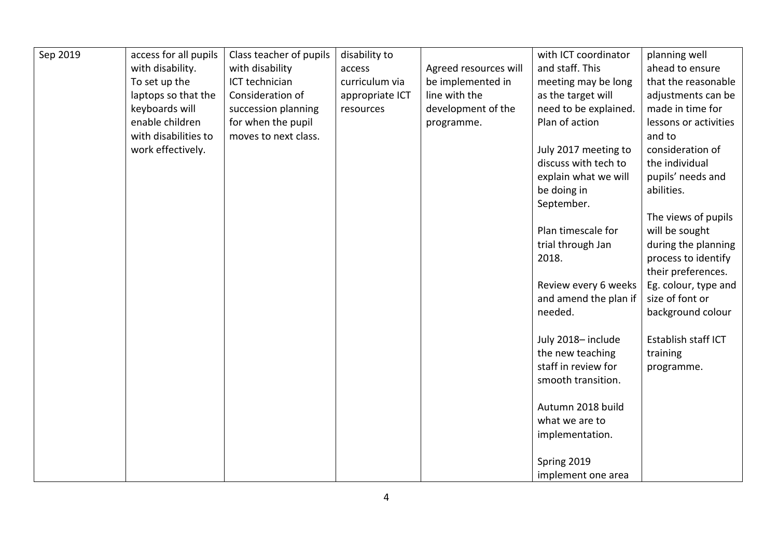| Sep 2019 | access for all pupils | Class teacher of pupils | disability to   |                       | with ICT coordinator  | planning well         |
|----------|-----------------------|-------------------------|-----------------|-----------------------|-----------------------|-----------------------|
|          | with disability.      | with disability         | access          | Agreed resources will | and staff. This       | ahead to ensure       |
|          | To set up the         | ICT technician          | curriculum via  | be implemented in     | meeting may be long   | that the reasonable   |
|          | laptops so that the   | Consideration of        | appropriate ICT | line with the         | as the target will    | adjustments can be    |
|          | keyboards will        | succession planning     | resources       | development of the    | need to be explained. | made in time for      |
|          | enable children       | for when the pupil      |                 | programme.            | Plan of action        | lessons or activities |
|          | with disabilities to  | moves to next class.    |                 |                       |                       | and to                |
|          | work effectively.     |                         |                 |                       | July 2017 meeting to  | consideration of      |
|          |                       |                         |                 |                       | discuss with tech to  | the individual        |
|          |                       |                         |                 |                       | explain what we will  | pupils' needs and     |
|          |                       |                         |                 |                       | be doing in           | abilities.            |
|          |                       |                         |                 |                       | September.            |                       |
|          |                       |                         |                 |                       |                       | The views of pupils   |
|          |                       |                         |                 |                       | Plan timescale for    | will be sought        |
|          |                       |                         |                 |                       | trial through Jan     | during the planning   |
|          |                       |                         |                 |                       | 2018.                 | process to identify   |
|          |                       |                         |                 |                       |                       | their preferences.    |
|          |                       |                         |                 |                       | Review every 6 weeks  | Eg. colour, type and  |
|          |                       |                         |                 |                       | and amend the plan if | size of font or       |
|          |                       |                         |                 |                       | needed.               | background colour     |
|          |                       |                         |                 |                       |                       |                       |
|          |                       |                         |                 |                       | July 2018-include     | Establish staff ICT   |
|          |                       |                         |                 |                       | the new teaching      | training              |
|          |                       |                         |                 |                       | staff in review for   | programme.            |
|          |                       |                         |                 |                       | smooth transition.    |                       |
|          |                       |                         |                 |                       |                       |                       |
|          |                       |                         |                 |                       | Autumn 2018 build     |                       |
|          |                       |                         |                 |                       | what we are to        |                       |
|          |                       |                         |                 |                       | implementation.       |                       |
|          |                       |                         |                 |                       |                       |                       |
|          |                       |                         |                 |                       | Spring 2019           |                       |
|          |                       |                         |                 |                       | implement one area    |                       |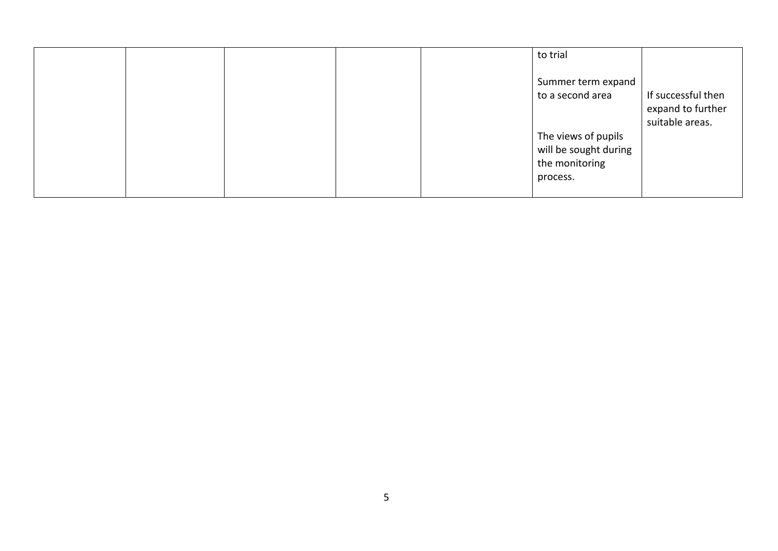|  |  | to trial                                                                   |                                                            |
|--|--|----------------------------------------------------------------------------|------------------------------------------------------------|
|  |  | Summer term expand<br>to a second area                                     | If successful then<br>expand to further<br>suitable areas. |
|  |  | The views of pupils<br>will be sought during<br>the monitoring<br>process. |                                                            |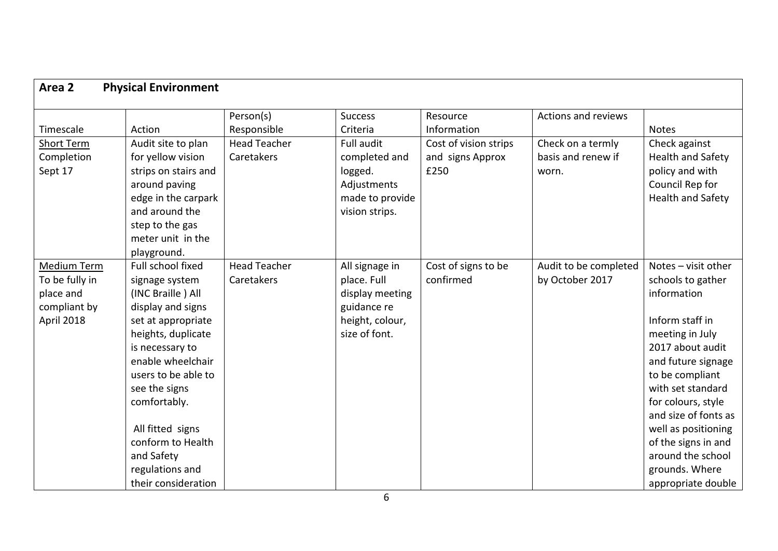| Area 2<br><b>Physical Environment</b> |                      |                     |                 |                       |                       |                          |
|---------------------------------------|----------------------|---------------------|-----------------|-----------------------|-----------------------|--------------------------|
|                                       |                      | Person(s)           | <b>Success</b>  | Resource              | Actions and reviews   |                          |
| Timescale                             | Action               | Responsible         | Criteria        | Information           |                       | <b>Notes</b>             |
| Short Term                            | Audit site to plan   | <b>Head Teacher</b> | Full audit      | Cost of vision strips | Check on a termly     | Check against            |
| Completion                            | for yellow vision    | Caretakers          | completed and   | and signs Approx      | basis and renew if    | Health and Safety        |
| Sept 17                               | strips on stairs and |                     | logged.         | £250                  | worn.                 | policy and with          |
|                                       | around paving        |                     | Adjustments     |                       |                       | Council Rep for          |
|                                       | edge in the carpark  |                     | made to provide |                       |                       | <b>Health and Safety</b> |
|                                       | and around the       |                     | vision strips.  |                       |                       |                          |
|                                       | step to the gas      |                     |                 |                       |                       |                          |
|                                       | meter unit in the    |                     |                 |                       |                       |                          |
|                                       | playground.          |                     |                 |                       |                       |                          |
| <b>Medium Term</b>                    | Full school fixed    | <b>Head Teacher</b> | All signage in  | Cost of signs to be   | Audit to be completed | Notes - visit other      |
| To be fully in                        | signage system       | Caretakers          | place. Full     | confirmed             | by October 2017       | schools to gather        |
| place and                             | (INC Braille) All    |                     | display meeting |                       |                       | information              |
| compliant by                          | display and signs    |                     | guidance re     |                       |                       |                          |
| April 2018                            | set at appropriate   |                     | height, colour, |                       |                       | Inform staff in          |
|                                       | heights, duplicate   |                     | size of font.   |                       |                       | meeting in July          |
|                                       | is necessary to      |                     |                 |                       |                       | 2017 about audit         |
|                                       | enable wheelchair    |                     |                 |                       |                       | and future signage       |
|                                       | users to be able to  |                     |                 |                       |                       | to be compliant          |
|                                       | see the signs        |                     |                 |                       |                       | with set standard        |
|                                       | comfortably.         |                     |                 |                       |                       | for colours, style       |
|                                       |                      |                     |                 |                       |                       | and size of fonts as     |
|                                       | All fitted signs     |                     |                 |                       |                       | well as positioning      |
|                                       | conform to Health    |                     |                 |                       |                       | of the signs in and      |
|                                       | and Safety           |                     |                 |                       |                       | around the school        |
|                                       | regulations and      |                     |                 |                       |                       | grounds. Where           |
|                                       | their consideration  |                     |                 |                       |                       | appropriate double       |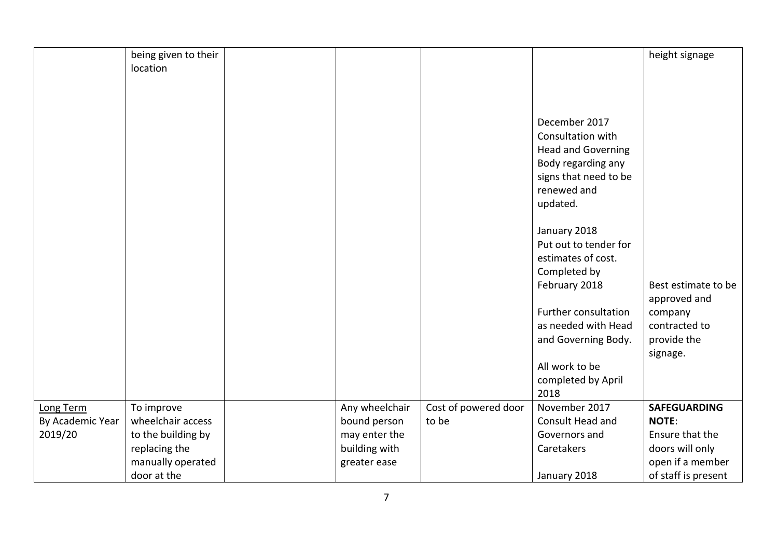|                  | being given to their |                |                      |                           | height signage      |
|------------------|----------------------|----------------|----------------------|---------------------------|---------------------|
|                  | location             |                |                      |                           |                     |
|                  |                      |                |                      |                           |                     |
|                  |                      |                |                      |                           |                     |
|                  |                      |                |                      |                           |                     |
|                  |                      |                |                      | December 2017             |                     |
|                  |                      |                |                      | Consultation with         |                     |
|                  |                      |                |                      | <b>Head and Governing</b> |                     |
|                  |                      |                |                      | Body regarding any        |                     |
|                  |                      |                |                      | signs that need to be     |                     |
|                  |                      |                |                      | renewed and               |                     |
|                  |                      |                |                      | updated.                  |                     |
|                  |                      |                |                      |                           |                     |
|                  |                      |                |                      | January 2018              |                     |
|                  |                      |                |                      | Put out to tender for     |                     |
|                  |                      |                |                      | estimates of cost.        |                     |
|                  |                      |                |                      | Completed by              |                     |
|                  |                      |                |                      | February 2018             | Best estimate to be |
|                  |                      |                |                      |                           | approved and        |
|                  |                      |                |                      | Further consultation      | company             |
|                  |                      |                |                      | as needed with Head       | contracted to       |
|                  |                      |                |                      | and Governing Body.       | provide the         |
|                  |                      |                |                      |                           | signage.            |
|                  |                      |                |                      | All work to be            |                     |
|                  |                      |                |                      | completed by April        |                     |
|                  |                      |                |                      | 2018                      |                     |
| Long Term        | To improve           | Any wheelchair | Cost of powered door | November 2017             | <b>SAFEGUARDING</b> |
| By Academic Year | wheelchair access    | bound person   | to be                | Consult Head and          | <b>NOTE:</b>        |
| 2019/20          | to the building by   | may enter the  |                      | Governors and             | Ensure that the     |
|                  | replacing the        | building with  |                      | Caretakers                | doors will only     |
|                  | manually operated    | greater ease   |                      |                           | open if a member    |
|                  | door at the          |                |                      | January 2018              | of staff is present |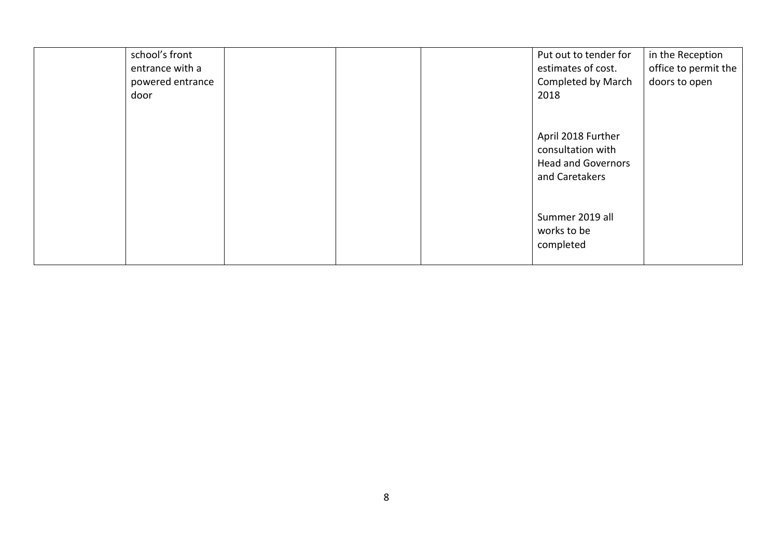| school's front<br>entrance with a |  | Put out to tender for<br>estimates of cost.                                            | in the Reception<br>office to permit the |
|-----------------------------------|--|----------------------------------------------------------------------------------------|------------------------------------------|
| powered entrance                  |  | Completed by March                                                                     | doors to open                            |
| door                              |  | 2018                                                                                   |                                          |
|                                   |  |                                                                                        |                                          |
|                                   |  | April 2018 Further<br>consultation with<br><b>Head and Governors</b><br>and Caretakers |                                          |
|                                   |  | Summer 2019 all<br>works to be<br>completed                                            |                                          |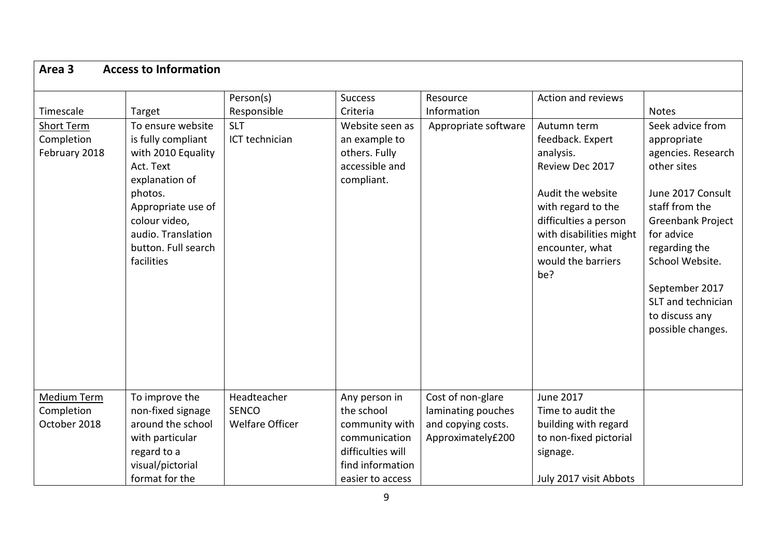| Person(s)<br>Responsible<br><b>SLT</b><br>To ensure website<br>is fully compliant<br>ICT technician | <b>Success</b><br>Criteria<br>Website seen as                                                                                                                                                                                | Resource<br>Information                                                            | Action and reviews                                                                                                                                                                                             |                                                                                                                                                                                                                                                              |
|-----------------------------------------------------------------------------------------------------|------------------------------------------------------------------------------------------------------------------------------------------------------------------------------------------------------------------------------|------------------------------------------------------------------------------------|----------------------------------------------------------------------------------------------------------------------------------------------------------------------------------------------------------------|--------------------------------------------------------------------------------------------------------------------------------------------------------------------------------------------------------------------------------------------------------------|
|                                                                                                     | an example to<br>others. Fully<br>accessible and<br>compliant.                                                                                                                                                               | Appropriate software                                                               | Autumn term<br>feedback. Expert<br>analysis.<br>Review Dec 2017<br>Audit the website<br>with regard to the<br>difficulties a person<br>with disabilities might<br>encounter, what<br>would the barriers<br>be? | <b>Notes</b><br>Seek advice from<br>appropriate<br>agencies. Research<br>other sites<br>June 2017 Consult<br>staff from the<br>Greenbank Project<br>for advice<br>regarding the<br>School Website.<br>September 2017<br>SLT and technician<br>to discuss any |
| Headteacher<br><b>SENCO</b><br><b>Welfare Officer</b>                                               | Any person in<br>the school<br>community with<br>communication<br>difficulties will<br>find information                                                                                                                      | Cost of non-glare<br>laminating pouches<br>and copying costs.<br>Approximately£200 | <b>June 2017</b><br>Time to audit the<br>building with regard<br>to non-fixed pictorial<br>signage.                                                                                                            | possible changes.                                                                                                                                                                                                                                            |
| colour video,                                                                                       | with 2010 Equality<br>explanation of<br>Appropriate use of<br>audio. Translation<br>button. Full search<br>To improve the<br>non-fixed signage<br>around the school<br>with particular<br>visual/pictorial<br>format for the | easier to access                                                                   |                                                                                                                                                                                                                | July 2017 visit Abbots                                                                                                                                                                                                                                       |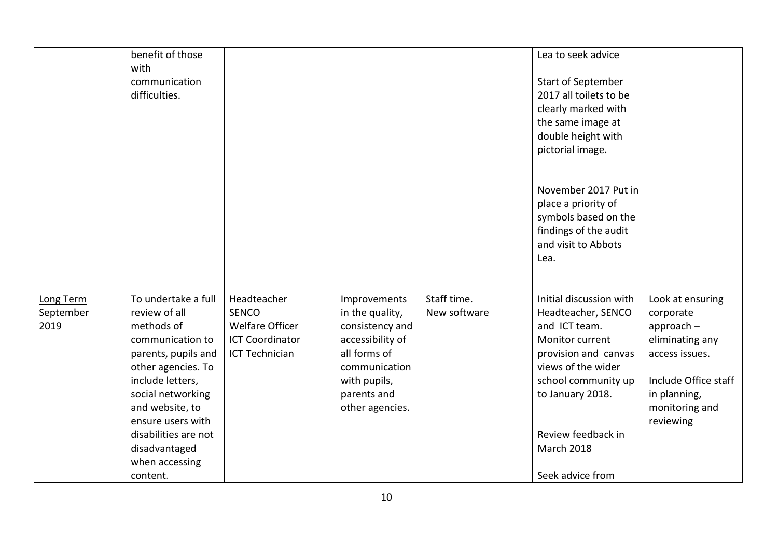|                                | benefit of those                                                                                                                                                                                     |                                                                                                          |                                                                                                                                                           |                             | Lea to seek advice                                                                                                                                                         |                                                                                                                                                           |
|--------------------------------|------------------------------------------------------------------------------------------------------------------------------------------------------------------------------------------------------|----------------------------------------------------------------------------------------------------------|-----------------------------------------------------------------------------------------------------------------------------------------------------------|-----------------------------|----------------------------------------------------------------------------------------------------------------------------------------------------------------------------|-----------------------------------------------------------------------------------------------------------------------------------------------------------|
|                                | with<br>communication<br>difficulties.                                                                                                                                                               |                                                                                                          |                                                                                                                                                           |                             | Start of September<br>2017 all toilets to be<br>clearly marked with<br>the same image at<br>double height with<br>pictorial image.                                         |                                                                                                                                                           |
|                                |                                                                                                                                                                                                      |                                                                                                          |                                                                                                                                                           |                             | November 2017 Put in<br>place a priority of<br>symbols based on the<br>findings of the audit<br>and visit to Abbots<br>Lea.                                                |                                                                                                                                                           |
| Long Term<br>September<br>2019 | To undertake a full<br>review of all<br>methods of<br>communication to<br>parents, pupils and<br>other agencies. To<br>include letters,<br>social networking<br>and website, to<br>ensure users with | Headteacher<br><b>SENCO</b><br><b>Welfare Officer</b><br><b>ICT Coordinator</b><br><b>ICT Technician</b> | Improvements<br>in the quality,<br>consistency and<br>accessibility of<br>all forms of<br>communication<br>with pupils,<br>parents and<br>other agencies. | Staff time.<br>New software | Initial discussion with<br>Headteacher, SENCO<br>and ICT team.<br>Monitor current<br>provision and canvas<br>views of the wider<br>school community up<br>to January 2018. | Look at ensuring<br>corporate<br>$approach -$<br>eliminating any<br>access issues.<br>Include Office staff<br>in planning,<br>monitoring and<br>reviewing |
|                                | disabilities are not<br>disadvantaged<br>when accessing<br>content.                                                                                                                                  |                                                                                                          |                                                                                                                                                           |                             | Review feedback in<br>March 2018<br>Seek advice from                                                                                                                       |                                                                                                                                                           |